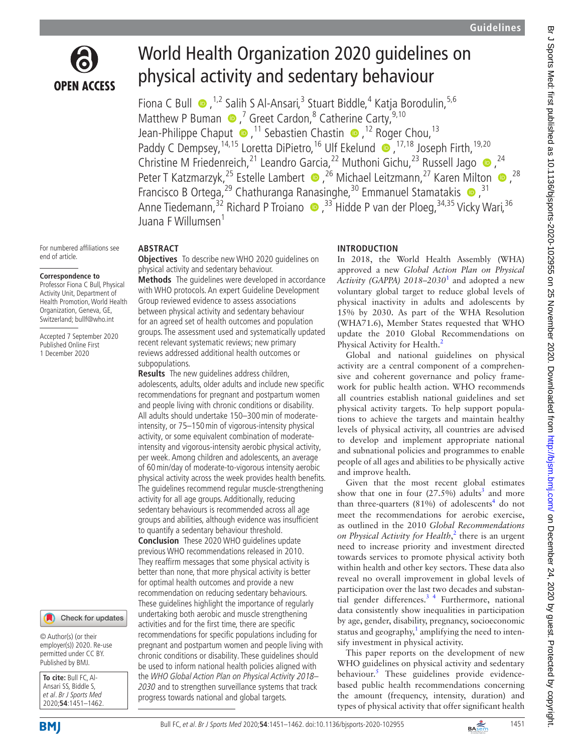

# World Health Organization 2020 guidelines on physical activity and sedentary behaviour

FionaC Bull · ●,<sup>1,2</sup> Salih S Al-Ansari,<sup>3</sup> Stuart Biddle,<sup>4</sup> Katja Borodulin,<sup>5,6</sup> Matthew P Buman  $\bullet$ ,  $\overline{O}$  Greet Cardon,  $\overline{O}$  Catherine Carty,  $\overline{O}$ ,  $\overline{O}$ Jean-Philippe Chaput  $\bullet$  ,<sup>11</sup> Sebastien Chastin  $\bullet$  ,<sup>12</sup> Roger Chou,<sup>13</sup> Paddy C Dempsey,<sup>14,15</sup> Loretta DiPietro,<sup>16</sup> Ulf Ekelund  $\bullet$ ,<sup>17,18</sup> Joseph Firth,<sup>19,20</sup> Christine M Friedenreich, <sup>21</sup> Leandro Garcia, <sup>22</sup> Muthoni Gichu, <sup>23</sup> Russell Jago  $\bullet$ , <sup>24</sup> PeterT Katzmarzyk,<sup>25</sup> Estelle Lambert  $\bullet$ , <sup>26</sup> Michael Leitzmann, <sup>27</sup> Karen Milton  $\bullet$ , <sup>28</sup> Francisco B Ortega,<sup>29</sup> Chathuranga Ranasinghe,<sup>30</sup> Emmanuel Stamatakis  $\bullet$ ,<sup>31</sup> Anne Tiedemann,<sup>32</sup> Richard P Troiano (b),<sup>33</sup> Hidde P van der Ploeg,<sup>34,35</sup> Vicky Wari,<sup>36</sup> Juana F Willumsen<sup>1</sup>

#### For numbered affiliations see end of article.

#### **Correspondence to**

Professor Fiona C Bull, Physical Activity Unit, Department of Health Promotion, World Health Organization, Geneva, GE, Switzerland; bullf@who.int

Accepted 7 September 2020 Published Online First 1 December 2020

#### Check for updates

© Author(s) (or their employer(s)) 2020. Re-use permitted under CC BY. Published by BMJ.

**To cite:** Bull FC, Al-Ansari SS, Biddle S, et al. Br J Sports Med 2020;**54**:1451–1462.

# **ABSTRACT**

**Objectives** To describe new WHO 2020 guidelines on physical activity and sedentary behaviour. **Methods** The guidelines were developed in accordance with WHO protocols. An expert Guideline Development Group reviewed evidence to assess associations between physical activity and sedentary behaviour for an agreed set of health outcomes and population groups. The assessment used and systematically updated recent relevant systematic reviews; new primary reviews addressed additional health outcomes or subpopulations.

**Results** The new guidelines address children, adolescents, adults, older adults and include new specific recommendations for pregnant and postpartum women and people living with chronic conditions or disability. All adults should undertake 150–300min of moderateintensity, or 75–150min of vigorous-intensity physical activity, or some equivalent combination of moderateintensity and vigorous-intensity aerobic physical activity, per week. Among children and adolescents, an average of 60min/day of moderate-to-vigorous intensity aerobic physical activity across the week provides health benefits. The guidelines recommend regular muscle-strengthening activity for all age groups. Additionally, reducing sedentary behaviours is recommended across all age groups and abilities, although evidence was insufficient to quantify a sedentary behaviour threshold.

**Conclusion** These 2020 WHO guidelines update previous WHO recommendations released in 2010. They reaffirm messages that some physical activity is better than none, that more physical activity is better for optimal health outcomes and provide a new recommendation on reducing sedentary behaviours. These guidelines highlight the importance of regularly undertaking both aerobic and muscle strengthening activities and for the first time, there are specific recommendations for specific populations including for pregnant and postpartum women and people living with chronic conditions or disability. These guidelines should be used to inform national health policies aligned with the WHO Global Action Plan on Physical Activity 2018– 2030 and to strengthen surveillance systems that track progress towards national and global targets.

# **INTRODUCTION**

In 2018, the World Health Assembly (WHA) approved a new *Global Action Plan on Physical Activity (GAPPA) 2018–2030*[1](#page-11-0) and adopted a new voluntary global target to reduce global levels of physical inactivity in adults and adolescents by 15% by 2030. As part of the WHA Resolution (WHA71.6), Member States requested that WHO update the 2010 Global Recommendations on Physical Activity for Health.<sup>2</sup>

Global and national guidelines on physical activity are a central component of a comprehensive and coherent governance and policy framework for public health action. WHO recommends all countries establish national guidelines and set physical activity targets. To help support populations to achieve the targets and maintain healthy levels of physical activity, all countries are advised to develop and implement appropriate national and subnational policies and programmes to enable people of all ages and abilities to be physically active and improve health.

Given that the most recent global estimates show that one in four  $(27.5%)$  adults<sup>[3](#page-11-2)</sup> and more than three-quarters  $(81%)$  of adolescents<sup>[4](#page-11-3)</sup> do not meet the recommendations for aerobic exercise, as outlined in the 2010 *Global Recommendations on Physical Activity for Health*, [2](#page-11-1) there is an urgent need to increase priority and investment directed towards services to promote physical activity both within health and other key sectors. These data also reveal no overall improvement in global levels of participation over the last two decades and substantial gender differences.<sup>3</sup>  $4$  Furthermore, national data consistently show inequalities in participation by age, gender, disability, pregnancy, socioeconomic status and geography, $\frac{1}{2}$  amplifying the need to intensify investment in physical activity.

This paper reports on the development of new WHO guidelines on physical activity and sedentary behaviour.<sup>[5](#page-11-4)</sup> These guidelines provide evidencebased public health recommendations concerning the amount (frequency, intensity, duration) and types of physical activity that offer significant health

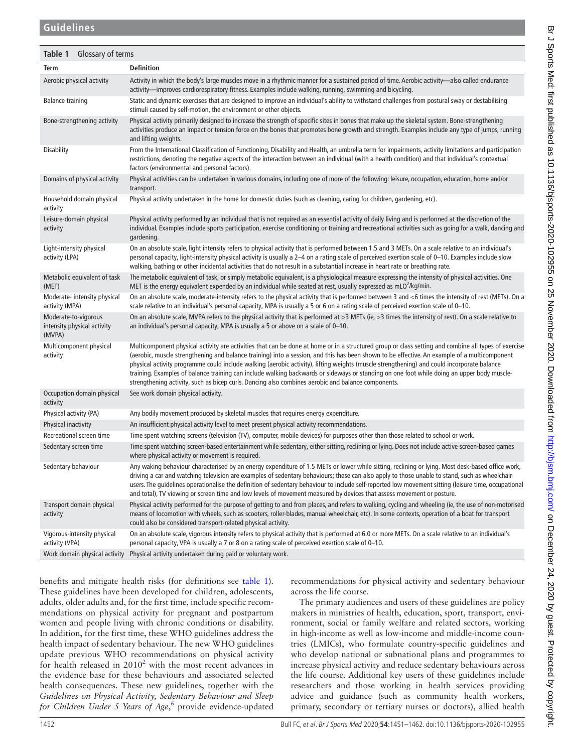<span id="page-1-0"></span>

| Table 1<br>Glossary of terms                                  |                                                                                                                                                                                                                                                                                                                                                                                                                                                                                                                                                                                                                                                                                                        |  |  |  |
|---------------------------------------------------------------|--------------------------------------------------------------------------------------------------------------------------------------------------------------------------------------------------------------------------------------------------------------------------------------------------------------------------------------------------------------------------------------------------------------------------------------------------------------------------------------------------------------------------------------------------------------------------------------------------------------------------------------------------------------------------------------------------------|--|--|--|
| <b>Term</b>                                                   | <b>Definition</b>                                                                                                                                                                                                                                                                                                                                                                                                                                                                                                                                                                                                                                                                                      |  |  |  |
| Aerobic physical activity                                     | Activity in which the body's large muscles move in a rhythmic manner for a sustained period of time. Aerobic activity—also called endurance<br>activity—improves cardiorespiratory fitness. Examples include walking, running, swimming and bicycling.                                                                                                                                                                                                                                                                                                                                                                                                                                                 |  |  |  |
| <b>Balance training</b>                                       | Static and dynamic exercises that are designed to improve an individual's ability to withstand challenges from postural sway or destabilising<br>stimuli caused by self-motion, the environment or other objects.                                                                                                                                                                                                                                                                                                                                                                                                                                                                                      |  |  |  |
| Bone-strengthening activity                                   | Physical activity primarily designed to increase the strength of specific sites in bones that make up the skeletal system. Bone-strengthening<br>activities produce an impact or tension force on the bones that promotes bone growth and strength. Examples include any type of jumps, running<br>and lifting weights.                                                                                                                                                                                                                                                                                                                                                                                |  |  |  |
| Disability                                                    | From the International Classification of Functioning, Disability and Health, an umbrella term for impairments, activity limitations and participation<br>restrictions, denoting the negative aspects of the interaction between an individual (with a health condition) and that individual's contextual<br>factors (environmental and personal factors).                                                                                                                                                                                                                                                                                                                                              |  |  |  |
| Domains of physical activity                                  | Physical activities can be undertaken in various domains, including one of more of the following: leisure, occupation, education, home and/or<br>transport.                                                                                                                                                                                                                                                                                                                                                                                                                                                                                                                                            |  |  |  |
| Household domain physical<br>activity                         | Physical activity undertaken in the home for domestic duties (such as cleaning, caring for children, gardening, etc).                                                                                                                                                                                                                                                                                                                                                                                                                                                                                                                                                                                  |  |  |  |
| Leisure-domain physical<br>activity                           | Physical activity performed by an individual that is not required as an essential activity of daily living and is performed at the discretion of the<br>individual. Examples include sports participation, exercise conditioning or training and recreational activities such as going for a walk, dancing and<br>gardening.                                                                                                                                                                                                                                                                                                                                                                           |  |  |  |
| Light-intensity physical<br>activity (LPA)                    | On an absolute scale, light intensity refers to physical activity that is performed between 1.5 and 3 METs. On a scale relative to an individual's<br>personal capacity, light-intensity physical activity is usually a 2-4 on a rating scale of perceived exertion scale of 0-10. Examples include slow<br>walking, bathing or other incidental activities that do not result in a substantial increase in heart rate or breathing rate.                                                                                                                                                                                                                                                              |  |  |  |
| Metabolic equivalent of task<br>(MET)                         | The metabolic equivalent of task, or simply metabolic equivalent, is a physiological measure expressing the intensity of physical activities. One<br>MET is the energy equivalent expended by an individual while seated at rest, usually expressed as mLO <sup>2</sup> /kg/min.                                                                                                                                                                                                                                                                                                                                                                                                                       |  |  |  |
| Moderate- intensity physical<br>activity (MPA)                | On an absolute scale, moderate-intensity refers to the physical activity that is performed between 3 and <6 times the intensity of rest (METs). On a<br>scale relative to an individual's personal capacity, MPA is usually a 5 or 6 on a rating scale of perceived exertion scale of 0-10.                                                                                                                                                                                                                                                                                                                                                                                                            |  |  |  |
| Moderate-to-vigorous<br>intensity physical activity<br>(MVPA) | On an absolute scale, MVPA refers to the physical activity that is performed at >3 METs (ie, >3 times the intensity of rest). On a scale relative to<br>an individual's personal capacity, MPA is usually a 5 or above on a scale of 0-10.                                                                                                                                                                                                                                                                                                                                                                                                                                                             |  |  |  |
| Multicomponent physical<br>activity                           | Multicomponent physical activity are activities that can be done at home or in a structured group or class setting and combine all types of exercise<br>(aerobic, muscle strengthening and balance training) into a session, and this has been shown to be effective. An example of a multicomponent<br>physical activity programme could include walking (aerobic activity), lifting weights (muscle strengthening) and could incorporate balance<br>training. Examples of balance training can include walking backwards or sideways or standing on one foot while doing an upper body muscle-<br>strengthening activity, such as bicep curls. Dancing also combines aerobic and balance components. |  |  |  |
| Occupation domain physical<br>activity                        | See work domain physical activity.                                                                                                                                                                                                                                                                                                                                                                                                                                                                                                                                                                                                                                                                     |  |  |  |
| Physical activity (PA)                                        | Any bodily movement produced by skeletal muscles that requires energy expenditure.                                                                                                                                                                                                                                                                                                                                                                                                                                                                                                                                                                                                                     |  |  |  |
| Physical inactivity                                           | An insufficient physical activity level to meet present physical activity recommendations.                                                                                                                                                                                                                                                                                                                                                                                                                                                                                                                                                                                                             |  |  |  |
| Recreational screen time                                      | Time spent watching screens (television (TV), computer, mobile devices) for purposes other than those related to school or work.                                                                                                                                                                                                                                                                                                                                                                                                                                                                                                                                                                       |  |  |  |
| Sedentary screen time                                         | Time spent watching screen-based entertainment while sedentary, either sitting, reclining or lying. Does not include active screen-based games<br>where physical activity or movement is required.                                                                                                                                                                                                                                                                                                                                                                                                                                                                                                     |  |  |  |
| Sedentary behaviour                                           | Any waking behaviour characterised by an energy expenditure of 1.5 METs or lower while sitting, reclining or lying. Most desk-based office work,<br>driving a car and watching television are examples of sedentary behaviours; these can also apply to those unable to stand, such as wheelchair<br>users. The quidelines operationalise the definition of sedentary behaviour to include self-reported low movement sitting (leisure time, occupational<br>and total), TV viewing or screen time and low levels of movement measured by devices that assess movement or posture.                                                                                                                     |  |  |  |
| Transport domain physical<br>activity                         | Physical activity performed for the purpose of getting to and from places, and refers to walking, cycling and wheeling (ie, the use of non-motorised<br>means of locomotion with wheels, such as scooters, roller-blades, manual wheelchair, etc). In some contexts, operation of a boat for transport<br>could also be considered transport-related physical activity.                                                                                                                                                                                                                                                                                                                                |  |  |  |
| Vigorous-intensity physical<br>activity (VPA)                 | On an absolute scale, vigorous intensity refers to physical activity that is performed at 6.0 or more METs. On a scale relative to an individual's<br>personal capacity, VPA is usually a 7 or 8 on a rating scale of perceived exertion scale of 0-10.                                                                                                                                                                                                                                                                                                                                                                                                                                                |  |  |  |
| Work domain physical activity                                 | Physical activity undertaken during paid or voluntary work.                                                                                                                                                                                                                                                                                                                                                                                                                                                                                                                                                                                                                                            |  |  |  |

benefits and mitigate health risks (for definitions see [table](#page-1-0) 1). These guidelines have been developed for children, adolescents, adults, older adults and, for the first time, include specific recommendations on physical activity for pregnant and postpartum women and people living with chronic conditions or disability. In addition, for the first time, these WHO guidelines address the health impact of sedentary behaviour. The new WHO guidelines update previous WHO recommendations on physical activity for health released in  $2010^2$  $2010^2$  with the most recent advances in the evidence base for these behaviours and associated selected health consequences. These new guidelines, together with the *Guidelines on Physical Activity, Sedentary Behaviour and Sleep*  for Children Under 5 Years of Age,<sup>[6](#page-11-5)</sup> provide evidence-updated

recommendations for physical activity and sedentary behaviour across the life course.

The primary audiences and users of these guidelines are policy makers in ministries of health, education, sport, transport, environment, social or family welfare and related sectors, working in high-income as well as low-income and middle-income countries (LMICs), who formulate country-specific guidelines and who develop national or subnational plans and programmes to increase physical activity and reduce sedentary behaviours across the life course. Additional key users of these guidelines include researchers and those working in health services providing advice and guidance (such as community health workers, primary, secondary or tertiary nurses or doctors), allied health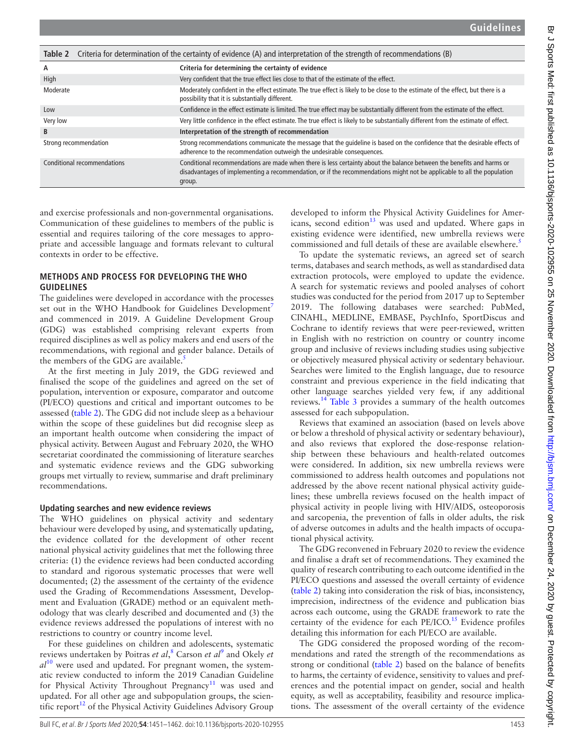<span id="page-2-0"></span>

|                             | Table 2 Criteria for determination of the certainty of evidence (A) and interpretation of the strength of recommendations (B)                                                                                                                              |  |  |
|-----------------------------|------------------------------------------------------------------------------------------------------------------------------------------------------------------------------------------------------------------------------------------------------------|--|--|
| A                           | Criteria for determining the certainty of evidence                                                                                                                                                                                                         |  |  |
| High                        | Very confident that the true effect lies close to that of the estimate of the effect.                                                                                                                                                                      |  |  |
| Moderate                    | Moderately confident in the effect estimate. The true effect is likely to be close to the estimate of the effect, but there is a<br>possibility that it is substantially different.                                                                        |  |  |
| Low                         | Confidence in the effect estimate is limited. The true effect may be substantially different from the estimate of the effect.                                                                                                                              |  |  |
| Very low                    | Very little confidence in the effect estimate. The true effect is likely to be substantially different from the estimate of effect.                                                                                                                        |  |  |
| B                           | Interpretation of the strength of recommendation                                                                                                                                                                                                           |  |  |
| Strong recommendation       | Strong recommendations communicate the message that the guideline is based on the confidence that the desirable effects of<br>adherence to the recommendation outweigh the undesirable consequences.                                                       |  |  |
| Conditional recommendations | Conditional recommendations are made when there is less certainty about the balance between the benefits and harms or<br>disadvantages of implementing a recommendation, or if the recommendations might not be applicable to all the population<br>group. |  |  |

and exercise professionals and non-governmental organisations. Communication of these guidelines to members of the public is essential and requires tailoring of the core messages to appropriate and accessible language and formats relevant to cultural contexts in order to be effective.

#### **METHODS AND PROCESS FOR DEVELOPING THE WHO GUIDELINES**

The guidelines were developed in accordance with the processes set out in the WHO Handbook for Guidelines Development<sup>7</sup> and commenced in 2019. A Guideline Development Group (GDG) was established comprising relevant experts from required disciplines as well as policy makers and end users of the recommendations, with regional and gender balance. Details of the members of the GDG are available.<sup>[5](#page-11-4)</sup>

At the first meeting in July 2019, the GDG reviewed and finalised the scope of the guidelines and agreed on the set of population, intervention or exposure, comparator and outcome (PI/ECO) questions and critical and important outcomes to be assessed [\(table](#page-2-0) 2). The GDG did not include sleep as a behaviour within the scope of these guidelines but did recognise sleep as an important health outcome when considering the impact of physical activity. Between August and February 2020, the WHO secretariat coordinated the commissioning of literature searches and systematic evidence reviews and the GDG subworking groups met virtually to review, summarise and draft preliminary recommendations.

#### **Updating searches and new evidence reviews**

The WHO guidelines on physical activity and sedentary behaviour were developed by using, and systematically updating, the evidence collated for the development of other recent national physical activity guidelines that met the following three criteria: (1) the evidence reviews had been conducted according to standard and rigorous systematic processes that were well documented; (2) the assessment of the certainty of the evidence used the Grading of Recommendations Assessment, Development and Evaluation (GRADE) method or an equivalent methodology that was clearly described and documented and (3) the evidence reviews addressed the populations of interest with no restrictions to country or country income level.

For these guidelines on children and adolescents, systematic reviews undertaken by Poitras *et al*,<sup>[8](#page-11-7)</sup> Carson *et al*<sup>[9](#page-11-8)</sup> and Okely *et*  $al^{10}$  were used and updated. For pregnant women, the systematic review conducted to inform the 2019 Canadian Guideline for Physical Activity Throughout Pregnancy<sup>[11](#page-11-10)</sup> was used and updated. For all other age and subpopulation groups, the scien-tific report<sup>[12](#page-11-11)</sup> of the Physical Activity Guidelines Advisory Group

developed to inform the Physical Activity Guidelines for Amer-icans, second edition<sup>[13](#page-11-12)</sup> was used and updated. Where gaps in existing evidence were identified, new umbrella reviews were commissioned and full details of these are available elsewhere.<sup>[5](#page-11-4)</sup>

To update the systematic reviews, an agreed set of search terms, databases and search methods, as well as standardised data extraction protocols, were employed to update the evidence. A search for systematic reviews and pooled analyses of cohort studies was conducted for the period from 2017 up to September 2019. The following databases were searched: PubMed, CINAHL, MEDLINE, EMBASE, PsychInfo, SportDiscus and Cochrane to identify reviews that were peer-reviewed, written in English with no restriction on country or country income group and inclusive of reviews including studies using subjective or objectively measured physical activity or sedentary behaviour. Searches were limited to the English language, due to resource constraint and previous experience in the field indicating that other language searches yielded very few, if any additional reviews[.14](#page-11-13) [Table](#page-3-0) 3 provides a summary of the health outcomes assessed for each subpopulation.

Reviews that examined an association (based on levels above or below a threshold of physical activity or sedentary behaviour), and also reviews that explored the dose-response relationship between these behaviours and health-related outcomes were considered. In addition, six new umbrella reviews were commissioned to address health outcomes and populations not addressed by the above recent national physical activity guidelines; these umbrella reviews focused on the health impact of physical activity in people living with HIV/AIDS, osteoporosis and sarcopenia, the prevention of falls in older adults, the risk of adverse outcomes in adults and the health impacts of occupational physical activity.

The GDG reconvened in February 2020 to review the evidence and finalise a draft set of recommendations. They examined the quality of research contributing to each outcome identified in the PI/ECO questions and assessed the overall certainty of evidence ([table](#page-2-0) 2) taking into consideration the risk of bias, inconsistency, imprecision, indirectness of the evidence and publication bias across each outcome, using the GRADE framework to rate the certainty of the evidence for each  $PE/ICO.<sup>15</sup>$  $PE/ICO.<sup>15</sup>$  $PE/ICO.<sup>15</sup>$  Evidence profiles detailing this information for each PI/ECO are available.

The GDG considered the proposed wording of the recommendations and rated the strength of the recommendations as strong or conditional [\(table](#page-2-0) 2) based on the balance of benefits to harms, the certainty of evidence, sensitivity to values and preferences and the potential impact on gender, social and health equity, as well as acceptability, feasibility and resource implications. The assessment of the overall certainty of the evidence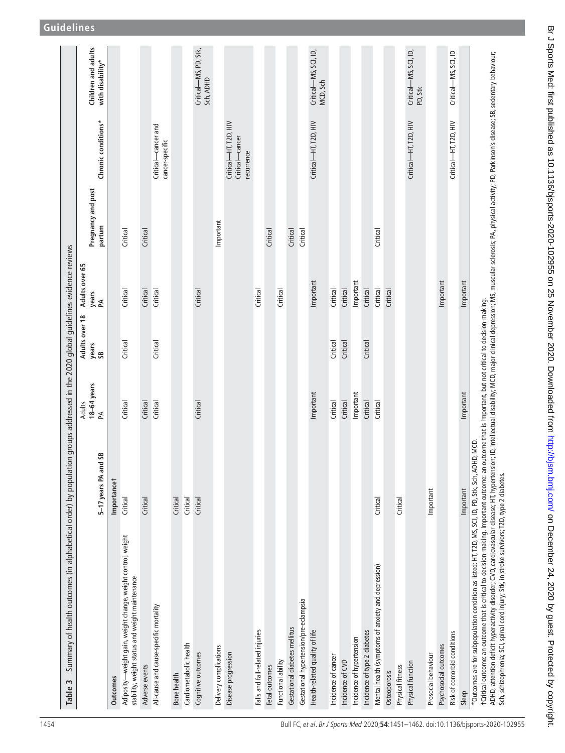<span id="page-3-0"></span>

| Summary of health outcomes (in alphabetical order) by population groups addressed in the 2020 global guidelines evidence reviews<br>Table 3                                                                                                                                                                                                                                                                                                                                                                                                                                                       |                         |                                       |                               |                              |                              |                                                        |                                         |
|---------------------------------------------------------------------------------------------------------------------------------------------------------------------------------------------------------------------------------------------------------------------------------------------------------------------------------------------------------------------------------------------------------------------------------------------------------------------------------------------------------------------------------------------------------------------------------------------------|-------------------------|---------------------------------------|-------------------------------|------------------------------|------------------------------|--------------------------------------------------------|-----------------------------------------|
|                                                                                                                                                                                                                                                                                                                                                                                                                                                                                                                                                                                                   | SB<br>5-17 years PA and | Adults<br>18–64 years<br>$\mathbb{Z}$ | Adults over 18<br>years<br>SB | Adults over 65<br>years<br>£ | Pregnancy and post<br>partum | Chronic conditions*                                    | Children and adults<br>with disability* |
| <b>Outcomes</b>                                                                                                                                                                                                                                                                                                                                                                                                                                                                                                                                                                                   | Importancet             |                                       |                               |                              |                              |                                                        |                                         |
| Adiposity—weight gain, weight change, weight control, weight<br>stability, weight status and weight maintenance                                                                                                                                                                                                                                                                                                                                                                                                                                                                                   | Critical                | Critical                              | Critical                      | Critical                     | Critical                     |                                                        |                                         |
| Adverse events                                                                                                                                                                                                                                                                                                                                                                                                                                                                                                                                                                                    | Critical                | Critical                              |                               | Critical                     | Critical                     |                                                        |                                         |
| All-cause and cause-specific mortality                                                                                                                                                                                                                                                                                                                                                                                                                                                                                                                                                            |                         | Critical                              | Critical                      | Critical                     |                              | Critical-cancer and<br>cancer-specific                 |                                         |
| Bone health                                                                                                                                                                                                                                                                                                                                                                                                                                                                                                                                                                                       | Critical                |                                       |                               |                              |                              |                                                        |                                         |
| Cardiometabolic health                                                                                                                                                                                                                                                                                                                                                                                                                                                                                                                                                                            | Critical                |                                       |                               |                              |                              |                                                        |                                         |
| Cognitive outcomes                                                                                                                                                                                                                                                                                                                                                                                                                                                                                                                                                                                | Critical                | Critical                              |                               | Critical                     |                              |                                                        | Critical-MS, PD, Stk,<br>Sch, ADHD      |
| Delivery complications                                                                                                                                                                                                                                                                                                                                                                                                                                                                                                                                                                            |                         |                                       |                               |                              | Important                    |                                                        |                                         |
| Disease progression                                                                                                                                                                                                                                                                                                                                                                                                                                                                                                                                                                               |                         |                                       |                               |                              |                              | Critical-HT, T2D, HIV<br>Critical-cancer<br>recurrence |                                         |
| Falls and fall-related injuries                                                                                                                                                                                                                                                                                                                                                                                                                                                                                                                                                                   |                         |                                       |                               | Critical                     |                              |                                                        |                                         |
| Fetal outcomes                                                                                                                                                                                                                                                                                                                                                                                                                                                                                                                                                                                    |                         |                                       |                               |                              | Critical                     |                                                        |                                         |
| Functional ability                                                                                                                                                                                                                                                                                                                                                                                                                                                                                                                                                                                |                         |                                       |                               | Critical                     |                              |                                                        |                                         |
| Gestational diabetes mellitus                                                                                                                                                                                                                                                                                                                                                                                                                                                                                                                                                                     |                         |                                       |                               |                              | Critical                     |                                                        |                                         |
| Gestational hypertension/pre-eclampsia                                                                                                                                                                                                                                                                                                                                                                                                                                                                                                                                                            |                         |                                       |                               |                              | Critical                     |                                                        |                                         |
| Health-related quality of life                                                                                                                                                                                                                                                                                                                                                                                                                                                                                                                                                                    |                         | Important                             |                               | Important                    |                              | Critical-HT, T2D, HIV                                  | Critical-MS, SCI, ID,<br>MCD, Sch       |
| Incidence of cancer                                                                                                                                                                                                                                                                                                                                                                                                                                                                                                                                                                               |                         | Critical                              | Critical                      | Critical                     |                              |                                                        |                                         |
| Incidence of CVD                                                                                                                                                                                                                                                                                                                                                                                                                                                                                                                                                                                  |                         | Critical                              | Critical                      | Critical                     |                              |                                                        |                                         |
| Incidence of hypertension                                                                                                                                                                                                                                                                                                                                                                                                                                                                                                                                                                         |                         | Important                             |                               | mportant                     |                              |                                                        |                                         |
| Incidence of type 2 diabetes                                                                                                                                                                                                                                                                                                                                                                                                                                                                                                                                                                      |                         | Critical                              | Critical                      | Critical                     |                              |                                                        |                                         |
| Mental health (symptoms of anxiety and depression)                                                                                                                                                                                                                                                                                                                                                                                                                                                                                                                                                | Critical                | Critical                              |                               | Critical                     | Critical                     |                                                        |                                         |
| Osteoporosis                                                                                                                                                                                                                                                                                                                                                                                                                                                                                                                                                                                      |                         |                                       |                               | Critical                     |                              |                                                        |                                         |
| Physical fitness                                                                                                                                                                                                                                                                                                                                                                                                                                                                                                                                                                                  | Critical                |                                       |                               |                              |                              |                                                        |                                         |
| Physical function                                                                                                                                                                                                                                                                                                                                                                                                                                                                                                                                                                                 |                         |                                       |                               |                              |                              | Critical-HT, T2D, HIV                                  | Critical-MS, SCI, ID,<br>PD, Stk        |
| Prosocial behaviour                                                                                                                                                                                                                                                                                                                                                                                                                                                                                                                                                                               | Important               |                                       |                               |                              |                              |                                                        |                                         |
| Psychosocial outcomes                                                                                                                                                                                                                                                                                                                                                                                                                                                                                                                                                                             |                         |                                       |                               | Important                    |                              |                                                        |                                         |
| Risk of comorbid conditions                                                                                                                                                                                                                                                                                                                                                                                                                                                                                                                                                                       |                         |                                       |                               |                              |                              | Critical-HT, T2D, HIV                                  | Critical-MS, SCI, ID                    |
| Sleep                                                                                                                                                                                                                                                                                                                                                                                                                                                                                                                                                                                             | Important               | Important                             |                               | Important                    |                              |                                                        |                                         |
| ADHD, attention deficit hyperactivity disorder; CVD, cardiovascular disease; HT, hypertension; ID, intellectual disability; MCD, major clinical depression; MS, muscular sclerosis; PA, physical activity; PD, Parkinson's ati<br>t Critical outcome: an outcome that is critical to decision-making. Important outcome: an outcome that is important, but not critical to decision-making.<br>*Outcomes are for subpopulation condition as listed: HT, T2D, MS, SCI, ID, PD, Stk, Sch, ADHD, MCD<br>Sch, schizophrenia; SCI, spinal cord injury; Stk, in stroke survivors; T2D, type 2 diabetes. |                         |                                       |                               |                              |                              |                                                        |                                         |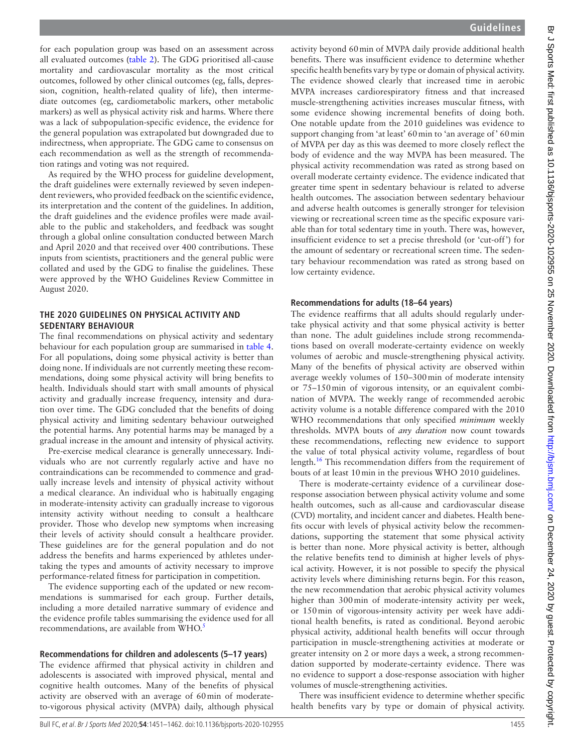for each population group was based on an assessment across all evaluated outcomes [\(table](#page-2-0) 2). The GDG prioritised all-cause mortality and cardiovascular mortality as the most critical outcomes, followed by other clinical outcomes (eg, falls, depression, cognition, health-related quality of life), then intermediate outcomes (eg, cardiometabolic markers, other metabolic markers) as well as physical activity risk and harms. Where there was a lack of subpopulation-specific evidence, the evidence for the general population was extrapolated but downgraded due to indirectness, when appropriate. The GDG came to consensus on each recommendation as well as the strength of recommendation ratings and voting was not required.

As required by the WHO process for guideline development, the draft guidelines were externally reviewed by seven independent reviewers, who provided feedback on the scientific evidence, its interpretation and the content of the guidelines. In addition, the draft guidelines and the evidence profiles were made available to the public and stakeholders, and feedback was sought through a global online consultation conducted between March and April 2020 and that received over 400 contributions. These inputs from scientists, practitioners and the general public were collated and used by the GDG to finalise the guidelines. These were approved by the WHO Guidelines Review Committee in August 2020.

### **THE 2020 GUIDELINES ON PHYSICAL ACTIVITY AND SEDENTARY BEHAVIOUR**

The final recommendations on physical activity and sedentary behaviour for each population group are summarised in [table](#page-5-0) 4. For all populations, doing some physical activity is better than doing none. If individuals are not currently meeting these recommendations, doing some physical activity will bring benefits to health. Individuals should start with small amounts of physical activity and gradually increase frequency, intensity and duration over time. The GDG concluded that the benefits of doing physical activity and limiting sedentary behaviour outweighed the potential harms. Any potential harms may be managed by a gradual increase in the amount and intensity of physical activity.

Pre-exercise medical clearance is generally unnecessary. Individuals who are not currently regularly active and have no contraindications can be recommended to commence and gradually increase levels and intensity of physical activity without a medical clearance. An individual who is habitually engaging in moderate-intensity activity can gradually increase to vigorous intensity activity without needing to consult a healthcare provider. Those who develop new symptoms when increasing their levels of activity should consult a healthcare provider. These guidelines are for the general population and do not address the benefits and harms experienced by athletes undertaking the types and amounts of activity necessary to improve performance-related fitness for participation in competition.

The evidence supporting each of the updated or new recommendations is summarised for each group. Further details, including a more detailed narrative summary of evidence and the evidence profile tables summarising the evidence used for all recommendations, are available from WHO.<sup>[5](#page-11-4)</sup>

#### **Recommendations for children and adolescents (5–17 years)**

The evidence affirmed that physical activity in children and adolescents is associated with improved physical, mental and cognitive health outcomes. Many of the benefits of physical activity are observed with an average of 60min of moderateto-vigorous physical activity (MVPA) daily, although physical

activity beyond 60min of MVPA daily provide additional health benefits. There was insufficient evidence to determine whether specific health benefits vary by type or domain of physical activity. The evidence showed clearly that increased time in aerobic MVPA increases cardiorespiratory fitness and that increased muscle-strengthening activities increases muscular fitness, with some evidence showing incremental benefits of doing both. One notable update from the 2010 guidelines was evidence to support changing from 'at least' 60min to 'an average of' 60min of MVPA per day as this was deemed to more closely reflect the body of evidence and the way MVPA has been measured. The physical activity recommendation was rated as strong based on overall moderate certainty evidence. The evidence indicated that greater time spent in sedentary behaviour is related to adverse health outcomes. The association between sedentary behaviour and adverse health outcomes is generally stronger for television viewing or recreational screen time as the specific exposure variable than for total sedentary time in youth. There was, however, insufficient evidence to set a precise threshold (or 'cut-off') for the amount of sedentary or recreational screen time. The sedentary behaviour recommendation was rated as strong based on low certainty evidence.

#### **Recommendations for adults (18–64 years)**

The evidence reaffirms that all adults should regularly undertake physical activity and that some physical activity is better than none. The adult guidelines include strong recommendations based on overall moderate-certainty evidence on weekly volumes of aerobic and muscle-strengthening physical activity. Many of the benefits of physical activity are observed within average weekly volumes of 150–300min of moderate intensity or 75–150min of vigorous intensity, or an equivalent combination of MVPA. The weekly range of recommended aerobic activity volume is a notable difference compared with the 2010 WHO recommendations that only specified *minimum* weekly thresholds. MVPA bouts of *any duration* now count towards these recommendations, reflecting new evidence to support the value of total physical activity volume, regardless of bout length.<sup>16</sup> This recommendation differs from the requirement of bouts of at least 10min in the previous WHO 2010 guidelines.

There is moderate-certainty evidence of a curvilinear doseresponse association between physical activity volume and some health outcomes, such as all-cause and cardiovascular disease (CVD) mortality, and incident cancer and diabetes. Health benefits occur with levels of physical activity below the recommendations, supporting the statement that some physical activity is better than none. More physical activity is better, although the relative benefits tend to diminish at higher levels of physical activity. However, it is not possible to specify the physical activity levels where diminishing returns begin. For this reason, the new recommendation that aerobic physical activity volumes higher than 300 min of moderate-intensity activity per week, or 150min of vigorous-intensity activity per week have additional health benefits, is rated as conditional. Beyond aerobic physical activity, additional health benefits will occur through participation in muscle-strengthening activities at moderate or greater intensity on 2 or more days a week, a strong recommendation supported by moderate-certainty evidence. There was no evidence to support a dose-response association with higher volumes of muscle-strengthening activities.

There was insufficient evidence to determine whether specific health benefits vary by type or domain of physical activity.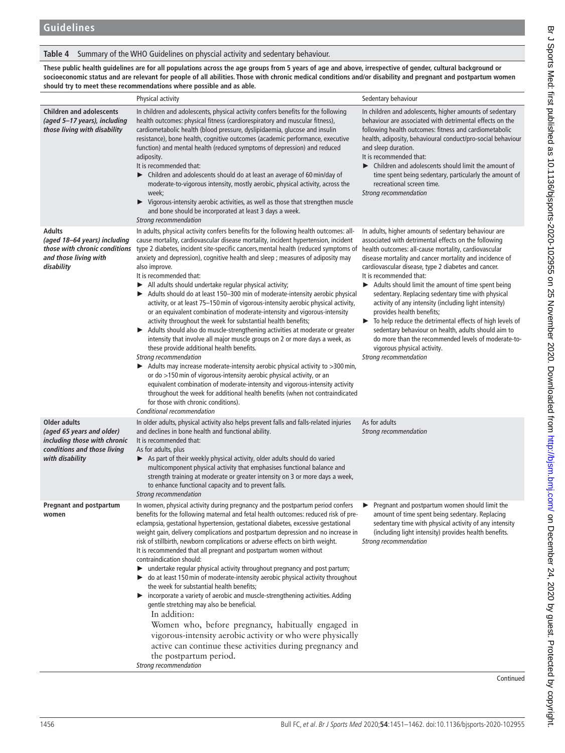#### <span id="page-5-0"></span>**Table 4** Summary of the WHO Guidelines on physcial activity and sedentary behaviour.

**These public health guidelines are for all populations across the age groups from 5 years of age and above, irrespective of gender, cultural background or socioeconomic status and are relevant for people of all abilities. Those with chronic medical conditions and/or disability and pregnant and postpartum women should try to meet these recommendations where possible and as able.**

|                                                                                                                                    | Physical activity                                                                                                                                                                                                                                                                                                                                                                                                                                                                                                                                                                                                                                                                                                                                                                                                                                                                                                                                                                                                                                                                                                                                                                                                                                                                                                                                                                                                                             | Sedentary behaviour                                                                                                                                                                                                                                                                                                                                                                                                                                                                                                                                                                                                                                                                                                                                  |
|------------------------------------------------------------------------------------------------------------------------------------|-----------------------------------------------------------------------------------------------------------------------------------------------------------------------------------------------------------------------------------------------------------------------------------------------------------------------------------------------------------------------------------------------------------------------------------------------------------------------------------------------------------------------------------------------------------------------------------------------------------------------------------------------------------------------------------------------------------------------------------------------------------------------------------------------------------------------------------------------------------------------------------------------------------------------------------------------------------------------------------------------------------------------------------------------------------------------------------------------------------------------------------------------------------------------------------------------------------------------------------------------------------------------------------------------------------------------------------------------------------------------------------------------------------------------------------------------|------------------------------------------------------------------------------------------------------------------------------------------------------------------------------------------------------------------------------------------------------------------------------------------------------------------------------------------------------------------------------------------------------------------------------------------------------------------------------------------------------------------------------------------------------------------------------------------------------------------------------------------------------------------------------------------------------------------------------------------------------|
| <b>Children and adolescents</b><br>(aged 5-17 years), including<br>those living with disability                                    | In children and adolescents, physical activity confers benefits for the following<br>health outcomes: physical fitness (cardiorespiratory and muscular fitness),<br>cardiometabolic health (blood pressure, dyslipidaemia, glucose and insulin<br>resistance), bone health, cognitive outcomes (academic performance, executive<br>function) and mental health (reduced symptoms of depression) and reduced<br>adiposity.<br>It is recommended that:<br>> Children and adolescents should do at least an average of 60 min/day of<br>moderate-to-vigorous intensity, mostly aerobic, physical activity, across the<br>week;<br>$\triangleright$ Vigorous-intensity aerobic activities, as well as those that strengthen muscle<br>and bone should be incorporated at least 3 days a week.<br>Strong recommendation                                                                                                                                                                                                                                                                                                                                                                                                                                                                                                                                                                                                                            | In children and adolescents, higher amounts of sedentary<br>behaviour are associated with detrimental effects on the<br>following health outcomes: fitness and cardiometabolic<br>health, adiposity, behavioural conduct/pro-social behaviour<br>and sleep duration.<br>It is recommended that:<br>► Children and adolescents should limit the amount of<br>time spent being sedentary, particularly the amount of<br>recreational screen time.<br>Strong recommendation                                                                                                                                                                                                                                                                             |
| <b>Adults</b><br>(aged 18–64 years) including<br>those with chronic conditions<br>and those living with<br>disability              | In adults, physical activity confers benefits for the following health outcomes: all-<br>cause mortality, cardiovascular disease mortality, incident hypertension, incident<br>type 2 diabetes, incident site-specific cancers, mental health (reduced symptoms of<br>anxiety and depression), cognitive health and sleep ; measures of adiposity may<br>also improve.<br>It is recommended that:<br>All adults should undertake regular physical activity;<br>Adults should do at least 150–300 min of moderate-intensity aerobic physical<br>activity, or at least 75-150 min of vigorous-intensity aerobic physical activity,<br>or an equivalent combination of moderate-intensity and vigorous-intensity<br>activity throughout the week for substantial health benefits;<br>Adults should also do muscle-strengthening activities at moderate or greater<br>▶<br>intensity that involve all major muscle groups on 2 or more days a week, as<br>these provide additional health benefits.<br>Strong recommendation<br>$\blacktriangleright$ Adults may increase moderate-intensity aerobic physical activity to >300 min,<br>or do >150 min of vigorous-intensity aerobic physical activity, or an<br>equivalent combination of moderate-intensity and vigorous-intensity activity<br>throughout the week for additional health benefits (when not contraindicated<br>for those with chronic conditions).<br>Conditional recommendation | In adults, higher amounts of sedentary behaviour are<br>associated with detrimental effects on the following<br>health outcomes: all-cause mortality, cardiovascular<br>disease mortality and cancer mortality and incidence of<br>cardiovascular disease, type 2 diabetes and cancer.<br>It is recommended that:<br>Adults should limit the amount of time spent being<br>sedentary. Replacing sedentary time with physical<br>activity of any intensity (including light intensity)<br>provides health benefits;<br>To help reduce the detrimental effects of high levels of<br>sedentary behaviour on health, adults should aim to<br>do more than the recommended levels of moderate-to-<br>vigorous physical activity.<br>Strong recommendation |
| <b>Older adults</b><br>(aged 65 years and older)<br>including those with chronic<br>conditions and those living<br>with disability | In older adults, physical activity also helps prevent falls and falls-related injuries<br>and declines in bone health and functional ability.<br>It is recommended that:<br>As for adults, plus<br>As part of their weekly physical activity, older adults should do varied<br>multicomponent physical activity that emphasises functional balance and<br>strength training at moderate or greater intensity on 3 or more days a week,<br>to enhance functional capacity and to prevent falls.<br>Strong recommendation                                                                                                                                                                                                                                                                                                                                                                                                                                                                                                                                                                                                                                                                                                                                                                                                                                                                                                                       | As for adults<br>Strong recommendation                                                                                                                                                                                                                                                                                                                                                                                                                                                                                                                                                                                                                                                                                                               |
| <b>Pregnant and postpartum</b><br>women                                                                                            | In women, physical activity during pregnancy and the postpartum period confers<br>benefits for the following maternal and fetal health outcomes: reduced risk of pre-<br>eclampsia, gestational hypertension, gestational diabetes, excessive gestational<br>weight gain, delivery complications and postpartum depression and no increase in<br>risk of stillbirth, newborn complications or adverse effects on birth weight.<br>It is recommended that all pregnant and postpartum women without<br>contraindication should:<br>• undertake regular physical activity throughout pregnancy and post partum;<br>► do at least 150 min of moderate-intensity aerobic physical activity throughout<br>the week for substantial health benefits;<br>incorporate a variety of aerobic and muscle-strengthening activities. Adding<br>gentle stretching may also be beneficial.<br>In addition:<br>Women who, before pregnancy, habitually engaged in<br>vigorous-intensity aerobic activity or who were physically<br>active can continue these activities during pregnancy and<br>the postpartum period.<br>Strong recommendation                                                                                                                                                                                                                                                                                                               | Pregnant and postpartum women should limit the<br>▶<br>amount of time spent being sedentary. Replacing<br>sedentary time with physical activity of any intensity<br>(including light intensity) provides health benefits.<br>Strong recommendation                                                                                                                                                                                                                                                                                                                                                                                                                                                                                                   |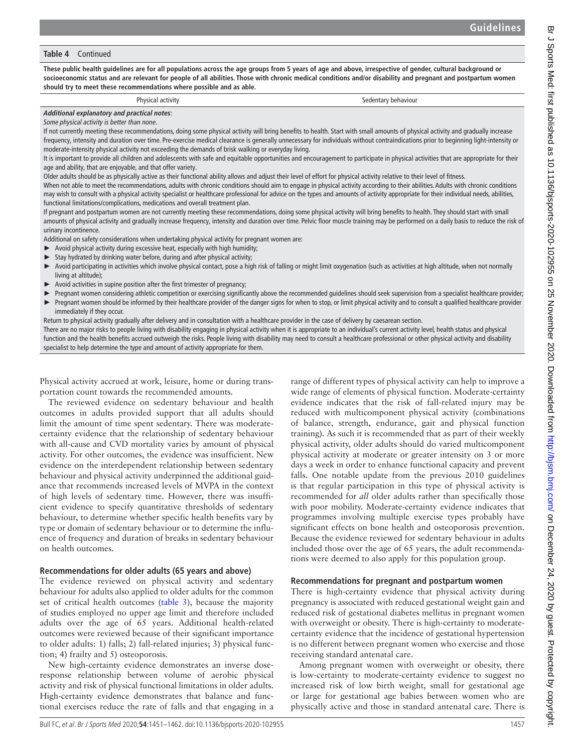#### **Table 4** Continued

**These public health guidelines are for all populations across the age groups from 5 years of age and above, irrespective of gender, cultural background or socioeconomic status and are relevant for people of all abilities. Those with chronic medical conditions and/or disability and pregnant and postpartum women should try to meet these recommendations where possible and as able.**

Physical activity Sedentary behaviour Sedentary behaviour Sedentary behaviour

**Additional explanatory and practical notes**:

*Some physical activity is better than none*.

If not currently meeting these recommendations, doing some physical activity will bring benefits to health. Start with small amounts of physical activity and gradually increase frequency, intensity and duration over time. Pre-exercise medical clearance is generally unnecessary for individuals without contraindications prior to beginning light-intensity or moderate-intensity physical activity not exceeding the demands of brisk walking or everyday living.

It is important to provide all children and adolescents with safe and equitable opportunities and encouragement to participate in physical activities that are appropriate for their age and ability, that are enjoyable, and that offer variety.

Older adults should be as physically active as their functional ability allows and adjust their level of effort for physical activity relative to their level of fitness.

When not able to meet the recommendations, adults with chronic conditions should aim to engage in physical activity according to their abilities. Adults with chronic conditions may wish to consult with a physical activity specialist or healthcare professional for advice on the types and amounts of activity appropriate for their individual needs, abilities, functional limitations/complications, medications and overall treatment plan.

If pregnant and postpartum women are not currently meeting these recommendations, doing some physical activity will bring benefits to health. They should start with small amounts of physical activity and gradually increase frequency, intensity and duration over time. Pelvic floor muscle training may be performed on a daily basis to reduce the risk of urinary incontinence.

Additional on safety considerations when undertaking physical activity for pregnant women are:

- Avoid physical activity during excessive heat, especially with high humidity;
- Stay hydrated by drinking water before, during and after physical activity;
- ► Avoid participating in activities which involve physical contact, pose a high risk of falling or might limit oxygenation (such as activities at high altitude, when not normally living at altitude);
- Avoid activities in supine position after the first trimester of pregnancy;
- Pregnant women considering athletic competition or exercising significantly above the recommended guidelines should seek supervision from a specialist healthcare provider; ► Pregnant women should be informed by their healthcare provider of the danger signs for when to stop, or limit physical activity and to consult a qualified healthcare provider immediately if they occur.

Return to physical activity gradually after delivery and in consultation with a healthcare provider in the case of delivery by caesarean section.

There are no major risks to people living with disability engaging in physical activity when it is appropriate to an individual's current activity level, health status and physical function and the health benefits accrued outweigh the risks. People living with disability may need to consult a healthcare professional or other physical activity and disability specialist to help determine the type and amount of activity appropriate for them.

Physical activity accrued at work, leisure, home or during transportation count towards the recommended amounts.

The reviewed evidence on sedentary behaviour and health outcomes in adults provided support that all adults should limit the amount of time spent sedentary. There was moderatecertainty evidence that the relationship of sedentary behaviour with all-cause and CVD mortality varies by amount of physical activity. For other outcomes, the evidence was insufficient. New evidence on the interdependent relationship between sedentary behaviour and physical activity underpinned the additional guidance that recommends increased levels of MVPA in the context of high levels of sedentary time. However, there was insufficient evidence to specify quantitative thresholds of sedentary behaviour, to determine whether specific health benefits vary by type or domain of sedentary behaviour or to determine the influence of frequency and duration of breaks in sedentary behaviour on health outcomes.

#### **Recommendations for older adults (65 years and above)**

The evidence reviewed on physical activity and sedentary behaviour for adults also applied to older adults for the common set of critical health outcomes ([table](#page-3-0) 3), because the majority of studies employed no upper age limit and therefore included adults over the age of 65 years. Additional health-related outcomes were reviewed because of their significant importance to older adults: 1) falls; 2) fall-related injuries; 3) physical function; 4) frailty and 5) osteoporosis.

New high-certainty evidence demonstrates an inverse doseresponse relationship between volume of aerobic physical activity and risk of physical functional limitations in older adults. High-certainty evidence demonstrates that balance and functional exercises reduce the rate of falls and that engaging in a

range of different types of physical activity can help to improve a wide range of elements of physical function. Moderate-certainty evidence indicates that the risk of fall-related injury may be reduced with multicomponent physical activity (combinations of balance, strength, endurance, gait and physical function training). As such it is recommended that as part of their weekly physical activity, older adults should do varied multicomponent physical activity at moderate or greater intensity on 3 or more days a week in order to enhance functional capacity and prevent falls. One notable update from the previous 2010 guidelines is that regular participation in this type of physical activity is recommended for *all* older adults rather than specifically those with poor mobility. Moderate-certainty evidence indicates that programmes involving multiple exercise types probably have significant effects on bone health and osteoporosis prevention. Because the evidence reviewed for sedentary behaviour in adults included those over the age of 65 years, the adult recommendations were deemed to also apply for this population group.

### **Recommendations for pregnant and postpartum women**

There is high-certainty evidence that physical activity during pregnancy is associated with reduced gestational weight gain and reduced risk of gestational diabetes mellitus in pregnant women with overweight or obesity. There is high-certainty to moderatecertainty evidence that the incidence of gestational hypertension is no different between pregnant women who exercise and those receiving standard antenatal care.

Among pregnant women with overweight or obesity, there is low-certainty to moderate-certainty evidence to suggest no increased risk of low birth weight, small for gestational age or large for gestational age babies between women who are physically active and those in standard antenatal care. There is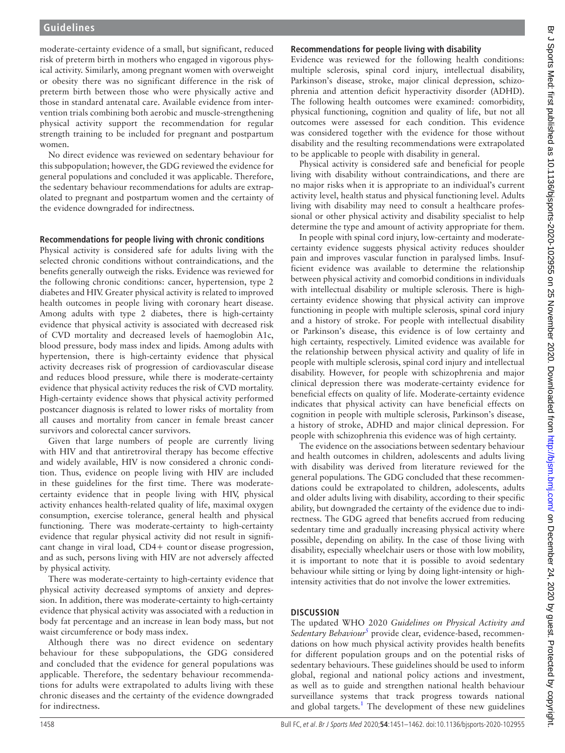moderate-certainty evidence of a small, but significant, reduced risk of preterm birth in mothers who engaged in vigorous physical activity. Similarly, among pregnant women with overweight or obesity there was no significant difference in the risk of preterm birth between those who were physically active and those in standard antenatal care. Available evidence from intervention trials combining both aerobic and muscle-strengthening physical activity support the recommendation for regular strength training to be included for pregnant and postpartum women.

No direct evidence was reviewed on sedentary behaviour for this subpopulation; however, the GDG reviewed the evidence for general populations and concluded it was applicable. Therefore, the sedentary behaviour recommendations for adults are extrapolated to pregnant and postpartum women and the certainty of the evidence downgraded for indirectness.

#### **Recommendations for people living with chronic conditions**

Physical activity is considered safe for adults living with the selected chronic conditions without contraindications, and the benefits generally outweigh the risks. Evidence was reviewed for the following chronic conditions: cancer, hypertension, type 2 diabetes and HIV. Greater physical activity is related to improved health outcomes in people living with coronary heart disease. Among adults with type 2 diabetes, there is high-certainty evidence that physical activity is associated with decreased risk of CVD mortality and decreased levels of haemoglobin A1c, blood pressure, body mass index and lipids. Among adults with hypertension, there is high-certainty evidence that physical activity decreases risk of progression of cardiovascular disease and reduces blood pressure, while there is moderate-certainty evidence that physical activity reduces the risk of CVD mortality. High-certainty evidence shows that physical activity performed postcancer diagnosis is related to lower risks of mortality from all causes and mortality from cancer in female breast cancer survivors and colorectal cancer survivors.

Given that large numbers of people are currently living with HIV and that antiretroviral therapy has become effective and widely available, HIV is now considered a chronic condition. Thus, evidence on people living with HIV are included in these guidelines for the first time. There was moderatecertainty evidence that in people living with HIV, physical activity enhances health-related quality of life, maximal oxygen consumption, exercise tolerance, general health and physical functioning. There was moderate-certainty to high-certainty evidence that regular physical activity did not result in significant change in viral load, CD4+ countor disease progression, and as such, persons living with HIV are not adversely affected by physical activity.

There was moderate-certainty to high-certainty evidence that physical activity decreased symptoms of anxiety and depression. In addition, there was moderate-certainty to high-certainty evidence that physical activity was associated with a reduction in body fat percentage and an increase in lean body mass, but not waist circumference or body mass index.

Although there was no direct evidence on sedentary behaviour for these subpopulations, the GDG considered and concluded that the evidence for general populations was applicable. Therefore, the sedentary behaviour recommendations for adults were extrapolated to adults living with these chronic diseases and the certainty of the evidence downgraded for indirectness.

#### **Recommendations for people living with disability**

Evidence was reviewed for the following health conditions: multiple sclerosis, spinal cord injury, intellectual disability, Parkinson's disease, stroke, major clinical depression, schizophrenia and attention deficit hyperactivity disorder (ADHD). The following health outcomes were examined: comorbidity, physical functioning, cognition and quality of life, but not all outcomes were assessed for each condition. This evidence was considered together with the evidence for those without disability and the resulting recommendations were extrapolated to be applicable to people with disability in general.

Physical activity is considered safe and beneficial for people living with disability without contraindications, and there are no major risks when it is appropriate to an individual's current activity level, health status and physical functioning level. Adults living with disability may need to consult a healthcare professional or other physical activity and disability specialist to help determine the type and amount of activity appropriate for them.

In people with spinal cord injury, low-certainty and moderatecertainty evidence suggests physical activity reduces shoulder pain and improves vascular function in paralysed limbs. Insufficient evidence was available to determine the relationship between physical activity and comorbid conditions in individuals with intellectual disability or multiple sclerosis. There is highcertainty evidence showing that physical activity can improve functioning in people with multiple sclerosis, spinal cord injury and a history of stroke. For people with intellectual disability or Parkinson's disease, this evidence is of low certainty and high certainty, respectively. Limited evidence was available for the relationship between physical activity and quality of life in people with multiple sclerosis, spinal cord injury and intellectual disability. However, for people with schizophrenia and major clinical depression there was moderate-certainty evidence for beneficial effects on quality of life. Moderate-certainty evidence indicates that physical activity can have beneficial effects on cognition in people with multiple sclerosis, Parkinson's disease, a history of stroke, ADHD and major clinical depression. For people with schizophrenia this evidence was of high certainty.

The evidence on the associations between sedentary behaviour and health outcomes in children, adolescents and adults living with disability was derived from literature reviewed for the general populations. The GDG concluded that these recommendations could be extrapolated to children, adolescents, adults and older adults living with disability, according to their specific ability, but downgraded the certainty of the evidence due to indirectness. The GDG agreed that benefits accrued from reducing sedentary time and gradually increasing physical activity where possible, depending on ability. In the case of those living with disability, especially wheelchair users or those with low mobility, it is important to note that it is possible to avoid sedentary behaviour while sitting or lying by doing light-intensity or highintensity activities that do not involve the lower extremities.

#### **DISCUSSION**

The updated WHO 2020 *Guidelines on Physical Activity and* Sedentary Behaviour<sup>[5](#page-11-4)</sup> provide clear, evidence-based, recommendations on how much physical activity provides health benefits for different population groups and on the potential risks of sedentary behaviours. These guidelines should be used to inform global, regional and national policy actions and investment, as well as to guide and strengthen national health behaviour surveillance systems that track progress towards national and global targets.<sup>[1](#page-11-0)</sup> The development of these new guidelines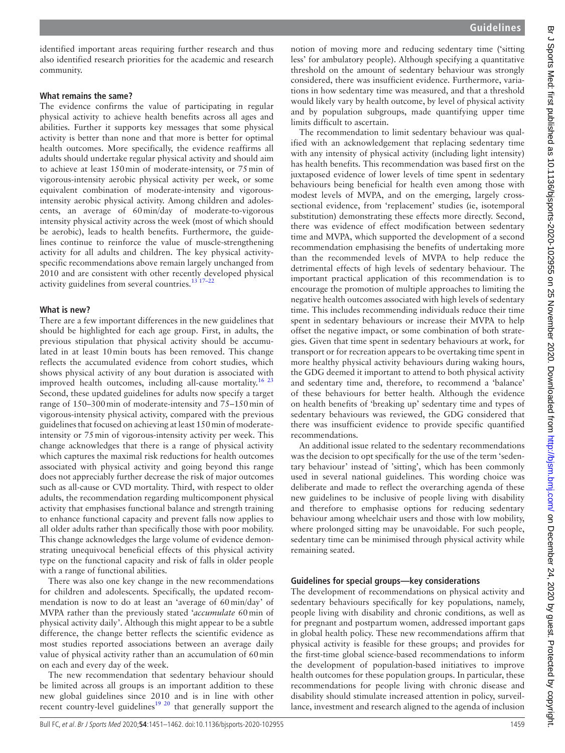identified important areas requiring further research and thus also identified research priorities for the academic and research community.

#### **What remains the same?**

The evidence confirms the value of participating in regular physical activity to achieve health benefits across all ages and abilities. Further it supports key messages that some physical activity is better than none and that more is better for optimal health outcomes. More specifically, the evidence reaffirms all adults should undertake regular physical activity and should aim to achieve at least 150min of moderate-intensity, or 75min of vigorous-intensity aerobic physical activity per week, or some equivalent combination of moderate-intensity and vigorousintensity aerobic physical activity. Among children and adolescents, an average of 60min/day of moderate-to-vigorous intensity physical activity across the week (most of which should be aerobic), leads to health benefits. Furthermore, the guidelines continue to reinforce the value of muscle-strengthening activity for all adults and children. The key physical activityspecific recommendations above remain largely unchanged from 2010 and are consistent with other recently developed physical activity guidelines from several countries.<sup>13 17-22</sup>

#### **What is new?**

There are a few important differences in the new guidelines that should be highlighted for each age group. First, in adults, the previous stipulation that physical activity should be accumulated in at least 10min bouts has been removed. This change reflects the accumulated evidence from cohort studies, which shows physical activity of any bout duration is associated with improved health outcomes, including all-cause mortality.<sup>[16 23](#page-11-15)</sup> Second, these updated guidelines for adults now specify a target range of 150–300min of moderate-intensity and 75–150min of vigorous-intensity physical activity, compared with the previous guidelines that focused on achieving at least 150min of moderateintensity or 75min of vigorous-intensity activity per week. This change acknowledges that there is a range of physical activity which captures the maximal risk reductions for health outcomes associated with physical activity and going beyond this range does not appreciably further decrease the risk of major outcomes such as all-cause or CVD mortality. Third, with respect to older adults, the recommendation regarding multicomponent physical activity that emphasises functional balance and strength training to enhance functional capacity and prevent falls now applies to all older adults rather than specifically those with poor mobility. This change acknowledges the large volume of evidence demonstrating unequivocal beneficial effects of this physical activity type on the functional capacity and risk of falls in older people with a range of functional abilities.

There was also one key change in the new recommendations for children and adolescents. Specifically, the updated recommendation is now to do at least an 'average of 60min/day' of MVPA rather than the previously stated '*accumulate* 60min of physical activity daily'. Although this might appear to be a subtle difference, the change better reflects the scientific evidence as most studies reported associations between an average daily value of physical activity rather than an accumulation of 60min on each and every day of the week.

The new recommendation that sedentary behaviour should be limited across all groups is an important addition to these new global guidelines since 2010 and is in line with other recent country-level guidelines<sup>19 20</sup> that generally support the

notion of moving more and reducing sedentary time ('sitting less' for ambulatory people). Although specifying a quantitative threshold on the amount of sedentary behaviour was strongly considered, there was insufficient evidence. Furthermore, variations in how sedentary time was measured, and that a threshold would likely vary by health outcome, by level of physical activity and by population subgroups, made quantifying upper time limits difficult to ascertain.

The recommendation to limit sedentary behaviour was qualified with an acknowledgement that replacing sedentary time with any intensity of physical activity (including light intensity) has health benefits. This recommendation was based first on the juxtaposed evidence of lower levels of time spent in sedentary behaviours being beneficial for health even among those with modest levels of MVPA, and on the emerging, largely crosssectional evidence, from 'replacement' studies (ie, isotemporal substitution) demonstrating these effects more directly. Second, there was evidence of effect modification between sedentary time and MVPA, which supported the development of a second recommendation emphasising the benefits of undertaking more than the recommended levels of MVPA to help reduce the detrimental effects of high levels of sedentary behaviour. The important practical application of this recommendation is to encourage the promotion of multiple approaches to limiting the negative health outcomes associated with high levels of sedentary time. This includes recommending individuals reduce their time spent in sedentary behaviours or increase their MVPA to help offset the negative impact, or some combination of both strategies. Given that time spent in sedentary behaviours at work, for transport or for recreation appears to be overtaking time spent in more healthy physical activity behaviours during waking hours, the GDG deemed it important to attend to both physical activity and sedentary time and, therefore, to recommend a 'balance' of these behaviours for better health. Although the evidence on health benefits of 'breaking up' sedentary time and types of sedentary behaviours was reviewed, the GDG considered that there was insufficient evidence to provide specific quantified recommendations.

An additional issue related to the sedentary recommendations was the decision to opt specifically for the use of the term 'sedentary behaviour' instead of 'sitting', which has been commonly used in several national guidelines. This wording choice was deliberate and made to reflect the overarching agenda of these new guidelines to be inclusive of people living with disability and therefore to emphasise options for reducing sedentary behaviour among wheelchair users and those with low mobility, where prolonged sitting may be unavoidable. For such people, sedentary time can be minimised through physical activity while remaining seated.

#### **Guidelines for special groups—key considerations**

The development of recommendations on physical activity and sedentary behaviours specifically for key populations, namely, people living with disability and chronic conditions, as well as for pregnant and postpartum women, addressed important gaps in global health policy. These new recommendations affirm that physical activity is feasible for these groups; and provides for the first-time global science-based recommendations to inform the development of population-based initiatives to improve health outcomes for these population groups. In particular, these recommendations for people living with chronic disease and disability should stimulate increased attention in policy, surveillance, investment and research aligned to the agenda of inclusion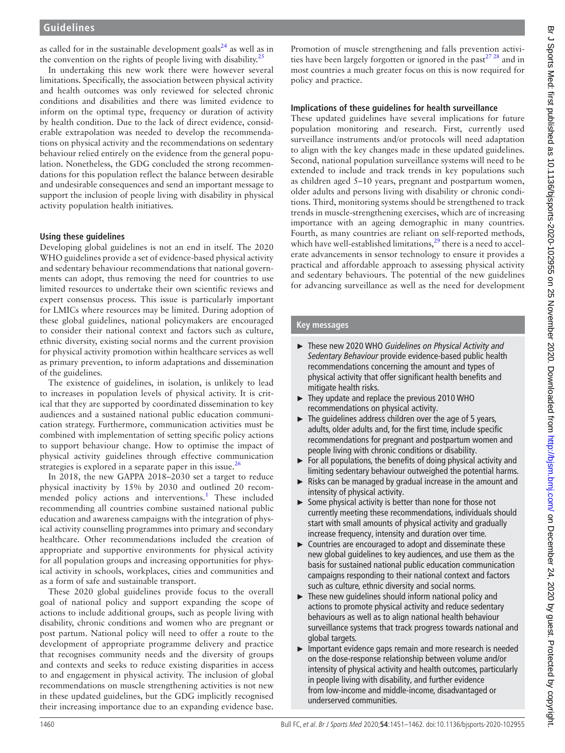as called for in the sustainable development goals $^{24}$  $^{24}$  $^{24}$  as well as in the convention on the rights of people living with disability. $25$ 

In undertaking this new work there were however several limitations. Specifically, the association between physical activity and health outcomes was only reviewed for selected chronic conditions and disabilities and there was limited evidence to inform on the optimal type, frequency or duration of activity by health condition. Due to the lack of direct evidence, considerable extrapolation was needed to develop the recommendations on physical activity and the recommendations on sedentary behaviour relied entirely on the evidence from the general population. Nonetheless, the GDG concluded the strong recommendations for this population reflect the balance between desirable and undesirable consequences and send an important message to support the inclusion of people living with disability in physical activity population health initiatives.

#### **Using these guidelines**

Developing global guidelines is not an end in itself. The 2020 WHO guidelines provide a set of evidence-based physical activity and sedentary behaviour recommendations that national governments can adopt, thus removing the need for countries to use limited resources to undertake their own scientific reviews and expert consensus process. This issue is particularly important for LMICs where resources may be limited. During adoption of these global guidelines, national policymakers are encouraged to consider their national context and factors such as culture, ethnic diversity, existing social norms and the current provision for physical activity promotion within healthcare services as well as primary prevention, to inform adaptations and dissemination of the guidelines.

The existence of guidelines, in isolation, is unlikely to lead to increases in population levels of physical activity. It is critical that they are supported by coordinated dissemination to key audiences and a sustained national public education communication strategy. Furthermore, communication activities must be combined with implementation of setting specific policy actions to support behaviour change. How to optimise the impact of physical activity guidelines through effective communication strategies is explored in a separate paper in this issue.<sup>26</sup>

In 2018, the new GAPPA 2018–2030 set a target to reduce physical inactivity by 15% by 2030 and outlined 20 recom-mended policy actions and interventions.<sup>[1](#page-11-0)</sup> These included recommending all countries combine sustained national public education and awareness campaigns with the integration of physical activity counselling programmes into primary and secondary healthcare. Other recommendations included the creation of appropriate and supportive environments for physical activity for all population groups and increasing opportunities for physical activity in schools, workplaces, cities and communities and as a form of safe and sustainable transport.

These 2020 global guidelines provide focus to the overall goal of national policy and support expanding the scope of actions to include additional groups, such as people living with disability, chronic conditions and women who are pregnant or post partum. National policy will need to offer a route to the development of appropriate programme delivery and practice that recognises community needs and the diversity of groups and contexts and seeks to reduce existing disparities in access to and engagement in physical activity. The inclusion of global recommendations on muscle strengthening activities is not new in these updated guidelines, but the GDG implicitly recognised their increasing importance due to an expanding evidence base.

Promotion of muscle strengthening and falls prevention activities have been largely forgotten or ignored in the past<sup>2728</sup> and in most countries a much greater focus on this is now required for policy and practice.

### **Implications of these guidelines for health surveillance**

These updated guidelines have several implications for future population monitoring and research. First, currently used surveillance instruments and/or protocols will need adaptation to align with the key changes made in these updated guidelines. Second, national population surveillance systems will need to be extended to include and track trends in key populations such as children aged 5–10 years, pregnant and postpartum women, older adults and persons living with disability or chronic conditions. Third, monitoring systems should be strengthened to track trends in muscle-strengthening exercises, which are of increasing importance with an ageing demographic in many countries. Fourth, as many countries are reliant on self-reported methods, which have well-established limitations,  $2<sup>9</sup>$  there is a need to accelerate advancements in sensor technology to ensure it provides a practical and affordable approach to assessing physical activity and sedentary behaviours. The potential of the new guidelines for advancing surveillance as well as the need for development

## **Key messages**

- ► These new 2020 WHO *Guidelines on Physical Activity and Sedentary Behaviour* provide evidence-based public health recommendations concerning the amount and types of physical activity that offer significant health benefits and mitigate health risks.
- ► They update and replace the previous 2010 WHO recommendations on physical activity.
- $\blacktriangleright$  The guidelines address children over the age of 5 years, adults, older adults and, for the first time, include specific recommendations for pregnant and postpartum women and people living with chronic conditions or disability.
- $\triangleright$  For all populations, the benefits of doing physical activity and limiting sedentary behaviour outweighed the potential harms.
- $\triangleright$  Risks can be managed by gradual increase in the amount and intensity of physical activity.
- ► Some physical activity is better than none for those not currently meeting these recommendations, individuals should start with small amounts of physical activity and gradually increase frequency, intensity and duration over time.
- ► Countries are encouraged to adopt and disseminate these new global guidelines to key audiences, and use them as the basis for sustained national public education communication campaigns responding to their national context and factors such as culture, ethnic diversity and social norms.
- ► These new guidelines should inform national policy and actions to promote physical activity and reduce sedentary behaviours as well as to align national health behaviour surveillance systems that track progress towards national and global targets.
- ► Important evidence gaps remain and more research is needed on the dose-response relationship between volume and/or intensity of physical activity and health outcomes, particularly in people living with disability, and further evidence from low-income and middle-income, disadvantaged or underserved communities.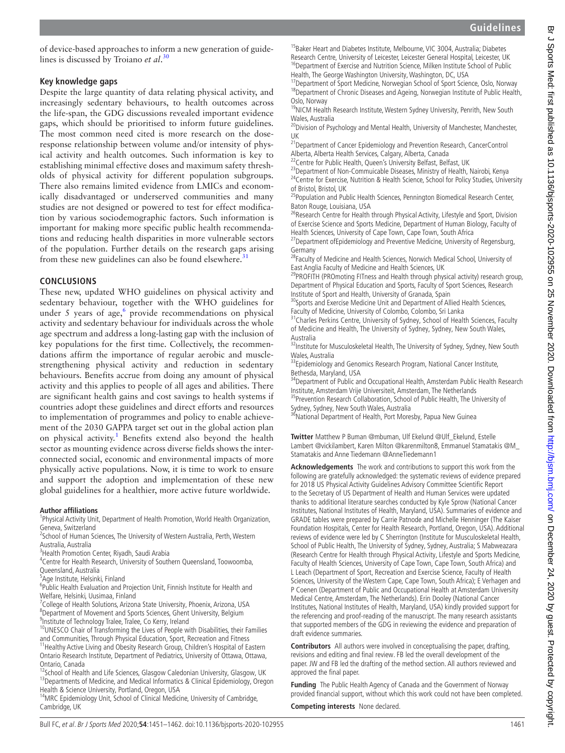of device-based approaches to inform a new generation of guidelines is discussed by Troiano *et al*. [30](#page-11-22)

#### **Key knowledge gaps**

Despite the large quantity of data relating physical activity, and increasingly sedentary behaviours, to health outcomes across the life-span, the GDG discussions revealed important evidence gaps, which should be prioritised to inform future guidelines. The most common need cited is more research on the doseresponse relationship between volume and/or intensity of physical activity and health outcomes. Such information is key to establishing minimal effective doses and maximum safety thresholds of physical activity for different population subgroups. There also remains limited evidence from LMICs and economically disadvantaged or underserved communities and many studies are not designed or powered to test for effect modification by various sociodemographic factors. Such information is important for making more specific public health recommendations and reducing health disparities in more vulnerable sectors of the population. Further details on the research gaps arising from these new guidelines can also be found elsewhere. $31$ 

#### **CONCLUSIONS**

These new, updated WHO guidelines on physical activity and sedentary behaviour, together with the WHO guidelines for under 5 years of age,  $6$  provide recommendations on physical activity and sedentary behaviour for individuals across the whole age spectrum and address a long-lasting gap with the inclusion of key populations for the first time. Collectively, the recommendations affirm the importance of regular aerobic and musclestrengthening physical activity and reduction in sedentary behaviours. Benefits accrue from doing any amount of physical activity and this applies to people of all ages and abilities. There are significant health gains and cost savings to health systems if countries adopt these guidelines and direct efforts and resources to implementation of programmes and policy to enable achievement of the 2030 GAPPA target set out in the global action plan on physical activity.<sup>[1](#page-11-0)</sup> Benefits extend also beyond the health sector as mounting evidence across diverse fields shows the interconnected social, economic and environmental impacts of more physically active populations. Now, it is time to work to ensure and support the adoption and implementation of these new global guidelines for a healthier, more active future worldwide.

#### **Author affiliations**

<sup>1</sup> Physical Activity Unit, Department of Health Promotion, World Health Organization, Geneva, Switzerland

<sup>2</sup>School of Human Sciences, The University of Western Australia, Perth, Western Australia, Australia

<sup>3</sup> Health Promotion Center, Riyadh, Saudi Arabia

<sup>4</sup> Centre for Health Research, University of Southern Queensland, Toowoomba, Queensland, Australia

5 Age Institute, Helsinki, Finland

<sup>6</sup>Public Health Evaluation and Projection Unit, Finnish Institute for Health and

Welfare, Helsinki, Uusimaa, Finland

<sup>7</sup>College of Health Solutions, Arizona State University, Phoenix, Arizona, USA 8 Department of Movement and Sports Sciences, Ghent University, Belgium <sup>9</sup>Institute of Technology Tralee, Tralee, Co Kerry, Ireland

<sup>10</sup>UNESCO Chair of Transforming the Lives of People with Disabilities, their Families and Communities, Through Physical Education, Sport, Recreation and Fitness<br><sup>11</sup>Healthy Active Living and Obesity Research Group, Children's Hospital of Eastern Ontario Research Institute, Department of Pediatrics, University of Ottawa, Ottawa,

Ontario, Canada <sup>12</sup>School of Health and Life Sciences, Glasgow Caledonian University, Glasgow, UK <sup>13</sup>Departments of Medicine, and Medical Informatics & Clinical Epidemiology, Oregon Health & Science University, Portland, Oregon, USA

<sup>14</sup>MRC Epidemiology Unit, School of Clinical Medicine, University of Cambridge, Cambridge, UK

<sup>15</sup>Baker Heart and Diabetes Institute, Melbourne, VIC 3004, Australia; Diabetes Research Centre, University of Leicester, Leicester General Hospital, Leicester, UK <sup>16</sup>Department of Exercise and Nutrition Science, Milken Institute School of Public Health, The George Washington University, Washington, DC, USA

<sup>17</sup> Department of Sport Medicine, Norwegian School of Sport Science, Oslo, Norway <sup>18</sup>Department of Chronic Diseases and Ageing, Norwegian Institute of Public Health, Oslo, Norway

<sup>19</sup>NICM Health Research Institute. Western Svdnev University, Penrith, New South Wales, Australia

<sup>20</sup>Division of Psychology and Mental Health, University of Manchester, Manchester, UK

<sup>21</sup>Department of Cancer Epidemiology and Prevention Research, CancerControl Alberta, Alberta Health Services, Calgary, Alberta, Canada

<sup>22</sup>Centre for Public Health, Queen's University Belfast, Belfast, UK<br><sup>23</sup>Department of Non-Commuicable Diseases, Ministry of Health, Nairobi, Kenya <sup>24</sup>Centre for Exercise, Nutrition & Health Science, School for Policy Studies, University of Bristol, Bristol, UK

<sup>25</sup> Population and Public Health Sciences, Pennington Biomedical Research Center, Baton Rouge, Louisiana, USA

<sup>26</sup>Research Centre for Health through Physical Activity, Lifestyle and Sport, Division of Exercise Science and Sports Medicine, Department of Human Biology, Faculty of Health Sciences, University of Cape Town, Cape Town, South Africa

<sup>27</sup> Department of Epidemiology and Preventive Medicine, University of Regensburg, Germany

<sup>28</sup>Faculty of Medicine and Health Sciences, Norwich Medical School, University of East Anglia Faculty of Medicine and Health Sciences, UK

<sup>29</sup> PROFITH (PROmoting FITness and Health through physical activity) research group, Department of Physical Education and Sports, Faculty of Sport Sciences, Research Institute of Sport and Health, University of Granada, Spain

<sup>30</sup>Sports and Exercise Medicine Unit and Department of Allied Health Sciences, Faculty of Medicine, University of Colombo, Colombo, Sri Lanka

<sup>31</sup>Charles Perkins Centre, University of Sydney, School of Health Sciences, Faculty of Medicine and Health, The University of Sydney, Sydney, New South Wales,

Australia<br><sup>32</sup>Institute for Musculoskeletal Health, The University of Sydney, Sydney, New South Wales, Australia

<sup>33</sup>Epidemiology and Genomics Research Program, National Cancer Institute, Bethesda, Maryland, USA

<sup>34</sup>Department of Public and Occupational Health, Amsterdam Public Health Research Institute, Amsterdam Vrije Universiteit, Amsterdam, The Netherlands

<sup>35</sup> Prevention Research Collaboration, School of Public Health, The University of Sydney, Sydney, New South Wales, Australia

<sup>5</sup>National Department of Health, Port Moresby, Papua New Guinea

**Twitter** Matthew P Buman [@mbuman,](https://twitter.com/mbuman) Ulf Ekelund [@Ulf\\_Ekelund,](https://twitter.com/Ulf_Ekelund) Estelle Lambert [@vickilambert,](https://twitter.com/vickilambert) Karen Milton [@karenmilton8,](https://twitter.com/karenmilton8) Emmanuel Stamatakis [@M\\_](https://twitter.com/M_Stamatakis) [Stamatakis](https://twitter.com/M_Stamatakis) and Anne Tiedemann [@AnneTiedemann1](https://twitter.com/AnneTiedemann1)

**Acknowledgements** The work and contributions to support this work from the following are gratefully acknowledged: the systematic reviews of evidence prepared for 2018 US Physical Activity Guidelines Advisory Committee Scientific Report to the Secretary of US Department of Health and Human Services were updated thanks to additional literature searches conducted by Kyle Sprow (National Cancer Institutes, National Institutes of Health, Maryland, USA). Summaries of evidence and GRADE tables were prepared by Carrie Patnode and Michelle Henninger (The Kaiser Foundation Hospitals, Center for Health Research, Portland, Oregon, USA). Additional reviews of evidence were led by C Sherrington (Institute for Musculoskeletal Health, School of Public Health, The University of Sydney, Sydney, Australia; S Mabweazara (Research Centre for Health through Physical Activity, Lifestyle and Sports Medicine, Faculty of Health Sciences, University of Cape Town, Cape Town, South Africa) and L Leach (Department of Sport, Recreation and Exercise Science, Faculty of Health Sciences, University of the Western Cape, Cape Town, South Africa); E Verhagen and P Coenen (Department of Public and Occupational Health at Amsterdam University Medical Centre, Amsterdam, The Netherlands). Erin Dooley (National Cancer Institutes, National Institutes of Health, Maryland, USA) kindly provided support for the referencing and proof-reading of the manuscript. The many research assistants that supported members of the GDG in reviewing the evidence and preparation of draft evidence summaries.

**Contributors** All authors were involved in conceptualising the paper, drafting, revisions and editing and final review. FB led the overall development of the paper. JW and FB led the drafting of the method section. All authors reviewed and approved the final paper.

**Funding** The Public Health Agency of Canada and the Government of Norway provided financial support, without which this work could not have been completed.

**Competing interests** None declared.